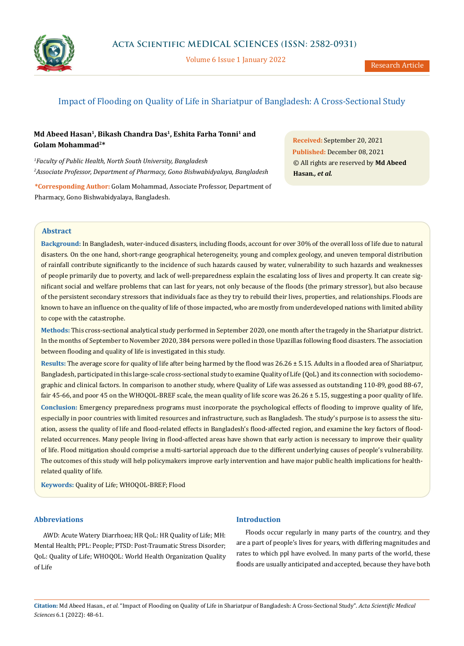

Volume 6 Issue 1 January 2022

# Impact of Flooding on Quality of Life in Shariatpur of Bangladesh: A Cross-Sectional Study

# **Md Abeed Hasan1, Bikash Chandra Das1, Eshita Farha Tonni1 and Golam Mohammad2\***

*1 Faculty of Public Health, North South University, Bangladesh 2 Associate Professor, Department of Pharmacy, Gono Bishwabidyalaya, Bangladesh*

**\*Corresponding Author:** Golam Mohammad, Associate Professor, Department of Pharmacy, Gono Bishwabidyalaya, Bangladesh.

**Received:** September 20, 2021 **Published:** December 08, 2021 © All rights are reserved by **Md Abeed Hasan***., et al.*

## **Abstract**

**Background:** In Bangladesh, water-induced disasters, including floods, account for over 30% of the overall loss of life due to natural disasters. On the one hand, short-range geographical heterogeneity, young and complex geology, and uneven temporal distribution of rainfall contribute significantly to the incidence of such hazards caused by water, vulnerability to such hazards and weaknesses of people primarily due to poverty, and lack of well-preparedness explain the escalating loss of lives and property. It can create significant social and welfare problems that can last for years, not only because of the floods (the primary stressor), but also because of the persistent secondary stressors that individuals face as they try to rebuild their lives, properties, and relationships. Floods are known to have an influence on the quality of life of those impacted, who are mostly from underdeveloped nations with limited ability to cope with the catastrophe.

**Methods:** This cross-sectional analytical study performed in September 2020, one month after the tragedy in the Shariatpur district. In the months of September to November 2020, 384 persons were polled in those Upazillas following flood disasters. The association between flooding and quality of life is investigated in this study.

**Results:** The average score for quality of life after being harmed by the flood was 26.26 ± 5.15. Adults in a flooded area of Shariatpur, Bangladesh, participated in this large-scale cross-sectional study to examine Quality of Life (QoL) and its connection with sociodemographic and clinical factors. In comparison to another study, where Quality of Life was assessed as outstanding 110-89, good 88-67, fair 45-66, and poor 45 on the WHOQOL-BREF scale, the mean quality of life score was 26.26 ± 5.15, suggesting a poor quality of life. **Conclusion:** Emergency preparedness programs must incorporate the psychological effects of flooding to improve quality of life, especially in poor countries with limited resources and infrastructure, such as Bangladesh. The study's purpose is to assess the situation, assess the quality of life and flood-related effects in Bangladesh's flood-affected region, and examine the key factors of floodrelated occurrences. Many people living in flood-affected areas have shown that early action is necessary to improve their quality of life. Flood mitigation should comprise a multi-sartorial approach due to the different underlying causes of people's vulnerability. The outcomes of this study will help policymakers improve early intervention and have major public health implications for healthrelated quality of life.

**Keywords:** Quality of Life; WHOQOL-BREF; Flood

# **Abbreviations**

AWD: Acute Watery Diarrhoea; HR QoL: HR Quality of Life; MH: Mental Health; PPL: People; PTSD: Post-Traumatic Stress Disorder; QoL: Quality of Life; WHOQOL: World Health Organization Quality of Life

# **Introduction**

Floods occur regularly in many parts of the country, and they are a part of people's lives for years, with differing magnitudes and rates to which ppl have evolved. In many parts of the world, these floods are usually anticipated and accepted, because they have both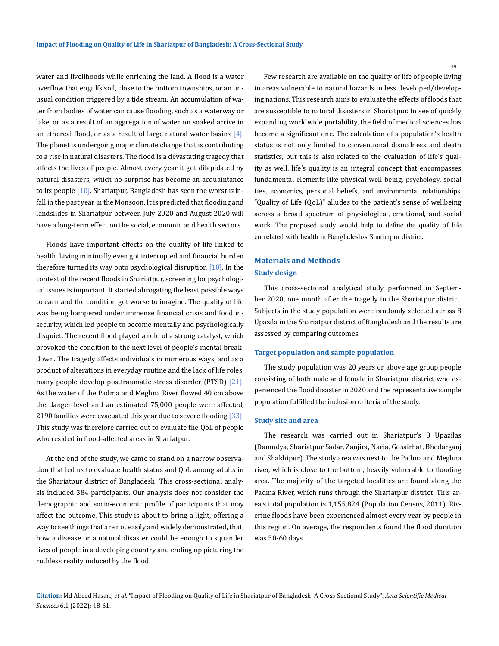water and livelihoods while enriching the land. A flood is a water overflow that engulfs soil, close to the bottom townships, or an unusual condition triggered by a tide stream. An accumulation of water from bodies of water can cause flooding, such as a waterway or lake, or as a result of an aggregation of water on soaked arrive in an ethereal flood, or as a result of large natural water basins  $[4]$ . The planet is undergoing major climate change that is contributing to a rise in natural disasters. The flood is a devastating tragedy that affects the lives of people. Almost every year it got dilapidated by natural disasters, which no surprise has become an acquaintance to its people  $[10]$ . Shariatpur, Bangladesh has seen the worst rainfall in the past year in the Monsoon. It is predicted that flooding and landslides in Shariatpur between July 2020 and August 2020 will have a long-term effect on the social, economic and health sectors.

Floods have important effects on the quality of life linked to health. Living minimally even got interrupted and financial burden therefore turned its way onto psychological disruption  $[10]$ . In the context of the recent floods in Shariatpur, screening for psychological issues is important. It started abrogating the least possible ways to earn and the condition got worse to imagine. The quality of life was being hampered under immense financial crisis and food insecurity, which led people to become mentally and psychologically disquiet. The recent flood played a role of a strong catalyst, which provoked the condition to the next level of people's mental breakdown. The tragedy affects individuals in numerous ways, and as a product of alterations in everyday routine and the lack of life roles, many people develop posttraumatic stress disorder (PTSD) [21]. As the water of the Padma and Meghna River flowed 40 cm above the danger level and an estimated 75,000 people were affected, 2190 families were evacuated this year due to severe flooding [33]. This study was therefore carried out to evaluate the QoL of people who resided in flood-affected areas in Shariatpur.

At the end of the study, we came to stand on a narrow observation that led us to evaluate health status and QoL among adults in the Shariatpur district of Bangladesh. This cross-sectional analysis included 384 participants. Our analysis does not consider the demographic and socio-economic profile of participants that may affect the outcome. This study is about to bring a light, offering a way to see things that are not easily and widely demonstrated, that, how a disease or a natural disaster could be enough to squander lives of people in a developing country and ending up picturing the ruthless reality induced by the flood.

Few research are available on the quality of life of people living in areas vulnerable to natural hazards in less developed/developing nations. This research aims to evaluate the effects of floods that are susceptible to natural disasters in Shariatpur. In see of quickly expanding worldwide portability, the field of medical sciences has become a significant one. The calculation of a population's health status is not only limited to conventional dismalness and death statistics, but this is also related to the evaluation of life's quality as well. life's quality is an integral concept that encompasses fundamental elements like physical well-being, psychology, social ties, economics, personal beliefs, and environmental relationships. "Quality of Life (QoL)" alludes to the patient's sense of wellbeing across a broad spectrum of physiological, emotional, and social work. The proposed study would help to define the quality of life correlated with health in Bangladesh›s Shariatpur district.

# **Materials and Methods Study design**

This cross-sectional analytical study performed in September 2020, one month after the tragedy in the Shariatpur district. Subjects in the study population were randomly selected across 8 Upazila in the Shariatpur district of Bangladesh and the results are assessed by comparing outcomes.

## **Target population and sample population**

The study population was 20 years or above age group people consisting of both male and female in Shariatpur district who experienced the flood disaster in 2020 and the representative sample population fulfilled the inclusion criteria of the study.

## **Study site and area**

The research was carried out in Shariatpur's 8 Upazilas [\(Damudya](https://en.wikipedia.org/wiki/Damudya_Upazila), [Shariatpur Sada](https://en.wikipedia.org/wiki/Shariatpur_Sadar_Upazila)r, [Zanjira](https://en.wikipedia.org/wiki/Zanjira_Upazila), [Naria](https://en.wikipedia.org/wiki/Naria_Upazila), [Gosairhat](https://en.wikipedia.org/wiki/Gosairhat_Upazila), [Bhedarganj](https://en.wikipedia.org/wiki/Bhedarganj_Upazila)  and [Shakhipur\)](https://en.wikipedia.org/wiki/Shakhipur_Upazila). The study area was next to the Padma and Meghna river, which is close to the bottom, heavily vulnerable to flooding area. The majority of the targeted localities are found along the Padma River, which runs through the Shariatpur district. This area's total population is 1,155,824 (Population Census, 2011). Riverine floods have been experienced almost every year by people in this region. On average, the respondents found the flood duration was 50-60 days.

**Citation:** Md Abeed Hasan*., et al.* "Impact of Flooding on Quality of Life in Shariatpur of Bangladesh: A Cross-Sectional Study". *Acta Scientific Medical Sciences* 6.1 (2022): 48-61.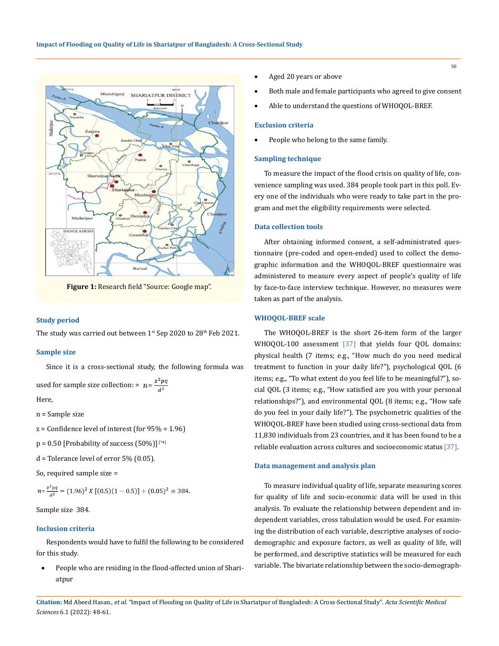

**Figure 1:** Research field "Source: Google map".

## **Study period**

The study was carried out between  $1^{st}$  Sep 2020 to  $28^{th}$  Feb 2021.

#### **Sample size**

Since it is a cross-sectional study, the following formula was used for sample size collection: =  $n = \frac{z^2pq}{a^2}$ 

Here,

- n = Sample size
- $z =$  Confidence level of interest (for  $95% = 1.96$ )
- $p = 0.50$  [Probability of success  $(50%)$ ]<sup>[\*4]</sup>
- $d$  = Tolerance level of error 5% (0.05).
- So, required sample size =

$$
n = \frac{z^2pq}{d^2} = (1.96)^2 X [(0.5)(1 - 0.5)] \div (0.05)^2 \approx 384.
$$

Sample size 384.

### **Inclusion criteria**

Respondents would have to fulfil the following to be considered for this study.

People who are residing in the flood-affected union of Shariatpur

- Aged 20 years or above
- Both male and female participants who agreed to give consent
- Able to understand the questions of WHOQOL-BREF.

## **Exclusion criteria**

People who belong to the same family.

### **Sampling technique**

To measure the impact of the flood crisis on quality of life, convenience sampling was used. 384 people took part in this poll. Every one of the individuals who were ready to take part in the program and met the eligibility requirements were selected.

## **Data collection tools**

After obtaining informed consent, a self-administrated questionnaire (pre-coded and open-ended) used to collect the demographic information and the WHOQOL-BREF questionnaire was administered to measure every aspect of people's quality of life by face-to-face interview technique. However, no measures were taken as part of the analysis.

## **WHOQOL-BREF scale**

The WHOQOL-BREF is the short 26-item form of the larger WHOQOL-100 assessment [37] that yields four QOL domains: physical health (7 items; e.g., "How much do you need medical treatment to function in your daily life?"), psychological QOL (6 items; e.g., "To what extent do you feel life to be meaningful?"), social QOL (3 items; e.g., "How satisfied are you with your personal relationships?"), and environmental QOL (8 items; e.g., "How safe do you feel in your daily life?"). The psychometric qualities of the WHOQOL-BREF have been studied using cross-sectional data from 11,830 individuals from 23 countries, and it has been found to be a reliable evaluation across cultures and socioeconomic status [37].

#### **Data management and analysis plan**

To measure individual quality of life, separate measuring scores for quality of life and socio-economic data will be used in this analysis. To evaluate the relationship between dependent and independent variables, cross tabulation would be used. For examining the distribution of each variable, descriptive analyses of sociodemographic and exposure factors, as well as quality of life, will be performed, and descriptive statistics will be measured for each variable. The bivariate relationship between the socio-demograph-

**Citation:** Md Abeed Hasan*., et al.* "Impact of Flooding on Quality of Life in Shariatpur of Bangladesh: A Cross-Sectional Study". *Acta Scientific Medical Sciences* 6.1 (2022): 48-61.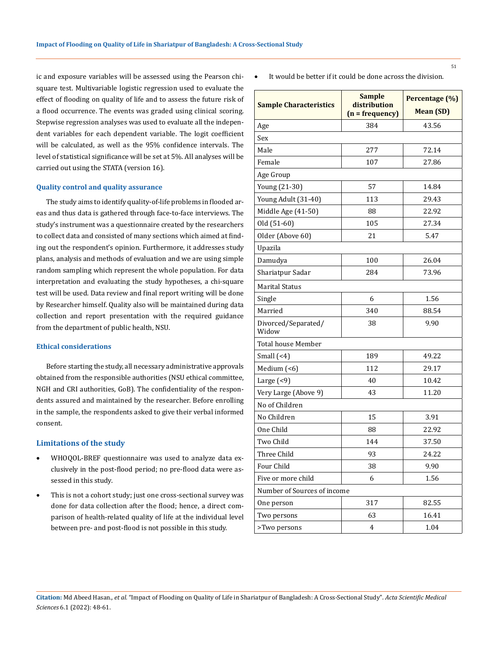ic and exposure variables will be assessed using the Pearson chisquare test. Multivariable logistic regression used to evaluate the effect of flooding on quality of life and to assess the future risk of a flood occurrence. The events was graded using clinical scoring. Stepwise regression analyses was used to evaluate all the independent variables for each dependent variable. The logit coefficient will be calculated, as well as the 95% confidence intervals. The level of statistical significance will be set at 5%. All analyses will be carried out using the STATA (version 16).

## **Quality control and quality assurance**

The study aims to identify quality-of-life problems in flooded areas and thus data is gathered through face-to-face interviews. The study's instrument was a questionnaire created by the researchers to collect data and consisted of many sections which aimed at finding out the respondent's opinion. Furthermore, it addresses study plans, analysis and methods of evaluation and we are using simple random sampling which represent the whole population. For data interpretation and evaluating the study hypotheses, a chi-square test will be used. Data review and final report writing will be done by Researcher himself. Quality also will be maintained during data collection and report presentation with the required guidance from the department of public health, NSU.

### **Ethical considerations**

Before starting the study, all necessary administrative approvals obtained from the responsible authorities (NSU ethical committee, NGH and CRI authorities, GoB). The confidentiality of the respondents assured and maintained by the researcher. Before enrolling in the sample, the respondents asked to give their verbal informed consent.

## **Limitations of the study**

- • WHOQOL-BREF questionnaire was used to analyze data exclusively in the post-flood period; no pre-flood data were assessed in this study.
- This is not a cohort study; just one cross-sectional survey was done for data collection after the flood; hence, a direct comparison of health-related quality of life at the individual level between pre- and post-flood is not possible in this study.

It would be better if it could be done across the division.

| <b>Sample Characteristics</b> | <b>Sample</b><br>distribution<br>$(n = frequency)$ | Percentage (%)<br><b>Mean (SD)</b> |  |  |  |  |
|-------------------------------|----------------------------------------------------|------------------------------------|--|--|--|--|
| Age                           | 384                                                | 43.56                              |  |  |  |  |
| Sex                           |                                                    |                                    |  |  |  |  |
| Male                          | 277                                                | 72.14                              |  |  |  |  |
| Female                        | 107                                                | 27.86                              |  |  |  |  |
| Age Group                     |                                                    |                                    |  |  |  |  |
| Young (21-30)                 | 57                                                 | 14.84                              |  |  |  |  |
| Young Adult (31-40)           | 113                                                | 29.43                              |  |  |  |  |
| Middle Age (41-50)            | 88                                                 | 22.92                              |  |  |  |  |
| Old (51-60)                   | 105                                                | 27.34                              |  |  |  |  |
| Older (Above 60)              | 21                                                 | 5.47                               |  |  |  |  |
| Upazila                       |                                                    |                                    |  |  |  |  |
| Damudya                       | 100                                                | 26.04                              |  |  |  |  |
| Shariatpur Sadar              | 284                                                | 73.96                              |  |  |  |  |
| <b>Marital Status</b>         |                                                    |                                    |  |  |  |  |
| Single                        | 6                                                  | 1.56                               |  |  |  |  |
| Married                       | 340                                                | 88.54                              |  |  |  |  |
| Divorced/Separated/<br>Widow  | 38                                                 | 9.90                               |  |  |  |  |
| <b>Total house Member</b>     |                                                    |                                    |  |  |  |  |
| Small $(-4)$                  | 189                                                | 49.22                              |  |  |  |  |
| Medium $($ < 6)               | 112                                                | 29.17                              |  |  |  |  |
| Large $($ <9 $)$              | 40                                                 | 10.42                              |  |  |  |  |
| Very Large (Above 9)          | 43                                                 | 11.20                              |  |  |  |  |
| No of Children                |                                                    |                                    |  |  |  |  |
| No Children                   | 15                                                 | 3.91                               |  |  |  |  |
| One Child                     | 88                                                 | 22.92                              |  |  |  |  |
| Two Child                     | 144                                                | 37.50                              |  |  |  |  |
| Three Child                   | 93                                                 | 24.22                              |  |  |  |  |
| Four Child                    | 38                                                 | 9.90                               |  |  |  |  |
| Five or more child            | 6                                                  | 1.56                               |  |  |  |  |
| Number of Sources of income   |                                                    |                                    |  |  |  |  |
| One person                    | 317                                                | 82.55                              |  |  |  |  |
| Two persons                   | 63                                                 | 16.41                              |  |  |  |  |
| >Two persons                  | 4                                                  | 1.04                               |  |  |  |  |

**Citation:** Md Abeed Hasan*., et al.* "Impact of Flooding on Quality of Life in Shariatpur of Bangladesh: A Cross-Sectional Study". *Acta Scientific Medical Sciences* 6.1 (2022): 48-61.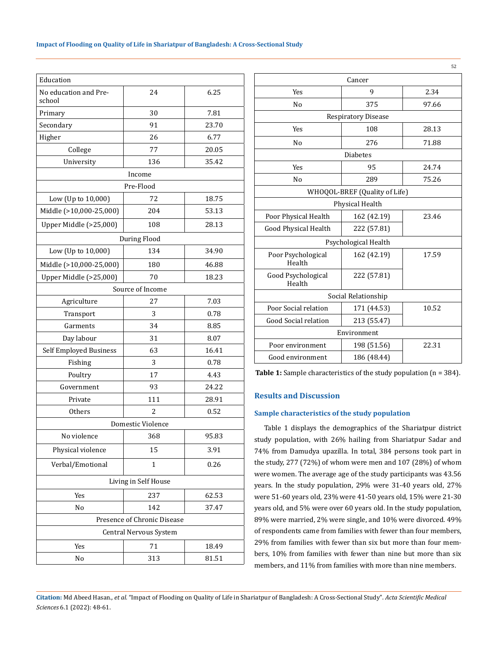| Education                                     |                   |       |  |  |  |
|-----------------------------------------------|-------------------|-------|--|--|--|
| No education and Pre-<br>24<br>6.25<br>school |                   |       |  |  |  |
| Primary                                       | 30                | 7.81  |  |  |  |
| Secondary                                     | 91<br>23.70       |       |  |  |  |
| Higher                                        | 26                | 6.77  |  |  |  |
| College                                       | 77                | 20.05 |  |  |  |
| University                                    | 136               | 35.42 |  |  |  |
|                                               | Income            |       |  |  |  |
|                                               | Pre-Flood         |       |  |  |  |
| Low (Up to 10,000)                            | 72                | 18.75 |  |  |  |
| Middle (>10,000-25,000)                       | 204               | 53.13 |  |  |  |
| Upper Middle (>25,000)                        | 108               | 28.13 |  |  |  |
|                                               | During Flood      |       |  |  |  |
| Low (Up to 10,000)                            | 134               | 34.90 |  |  |  |
| Middle (>10,000-25,000)                       | 180               | 46.88 |  |  |  |
| Upper Middle (>25,000)                        | 70                | 18.23 |  |  |  |
|                                               | Source of Income  |       |  |  |  |
| Agriculture                                   | 27                | 7.03  |  |  |  |
| 3<br>Transport                                |                   | 0.78  |  |  |  |
| Garments                                      | 34<br>8.85        |       |  |  |  |
| Day labour<br>31<br>8.07                      |                   |       |  |  |  |
| 63<br>Self Employed Business<br>16.41         |                   |       |  |  |  |
| Fishing<br>3<br>0.78                          |                   |       |  |  |  |
| 17<br>4.43<br>Poultry                         |                   |       |  |  |  |
| Government                                    | 93                | 24.22 |  |  |  |
| 111<br>Private                                |                   | 28.91 |  |  |  |
| Others                                        | 2                 | 0.52  |  |  |  |
|                                               | Domestic Violence |       |  |  |  |
| No violence                                   | 368               | 95.83 |  |  |  |
| Physical violence                             | 15                | 3.91  |  |  |  |
| Verbal/Emotional                              | 1                 | 0.26  |  |  |  |
| Living in Self House                          |                   |       |  |  |  |
| Yes                                           | 237               | 62.53 |  |  |  |
| No                                            | 142               | 37.47 |  |  |  |
| Presence of Chronic Disease                   |                   |       |  |  |  |
| Central Nervous System                        |                   |       |  |  |  |
| Yes                                           | 71                | 18.49 |  |  |  |
| No                                            | 313               | 81.51 |  |  |  |

|                              |                               | 52    |  |  |  |
|------------------------------|-------------------------------|-------|--|--|--|
| Cancer                       |                               |       |  |  |  |
| Yes                          | 9                             | 2.34  |  |  |  |
| N <sub>0</sub>               | 375                           | 97.66 |  |  |  |
|                              | <b>Respiratory Disease</b>    |       |  |  |  |
| Yes                          | 108                           | 28.13 |  |  |  |
| N <sub>o</sub>               | 276                           | 71.88 |  |  |  |
|                              | <b>Diabetes</b>               |       |  |  |  |
| Yes                          | 95                            | 24.74 |  |  |  |
| N <sub>0</sub>               | 289                           | 75.26 |  |  |  |
|                              | WHOQOL-BREF (Quality of Life) |       |  |  |  |
|                              | Physical Health               |       |  |  |  |
| Poor Physical Health         | 162 (42.19)                   | 23.46 |  |  |  |
| Good Physical Health         | 222 (57.81)                   |       |  |  |  |
| Psychological Health         |                               |       |  |  |  |
| Poor Psychological<br>Health | 162 (42.19)                   | 17.59 |  |  |  |
| Good Psychological<br>Health | 222 (57.81)                   |       |  |  |  |
| Social Relationship          |                               |       |  |  |  |
| Poor Social relation         | 171 (44.53)                   | 10.52 |  |  |  |
| Good Social relation         | 213 (55.47)                   |       |  |  |  |
| Environment                  |                               |       |  |  |  |
| Poor environment             | 198 (51.56)                   | 22.31 |  |  |  |
| Good environment             | 186 (48.44)                   |       |  |  |  |

Table 1: Sample characteristics of the study population (n = 384).

# **Results and Discussion**

## **Sample characteristics of the study population**

Table 1 displays the demographics of the Shariatpur district study population, with 26% hailing from Shariatpur Sadar and 74% from Damudya upazilla. In total, 384 persons took part in the study, 277 (72%) of whom were men and 107 (28%) of whom were women. The average age of the study participants was 43.56 years. In the study population, 29% were 31-40 years old, 27% were 51-60 years old, 23% were 41-50 years old, 15% were 21-30 years old, and 5% were over 60 years old. In the study population, 89% were married, 2% were single, and 10% were divorced. 49% of respondents came from families with fewer than four members, 29% from families with fewer than six but more than four members, 10% from families with fewer than nine but more than six members, and 11% from families with more than nine members.

**Citation:** Md Abeed Hasan*., et al.* "Impact of Flooding on Quality of Life in Shariatpur of Bangladesh: A Cross-Sectional Study". *Acta Scientific Medical Sciences* 6.1 (2022): 48-61.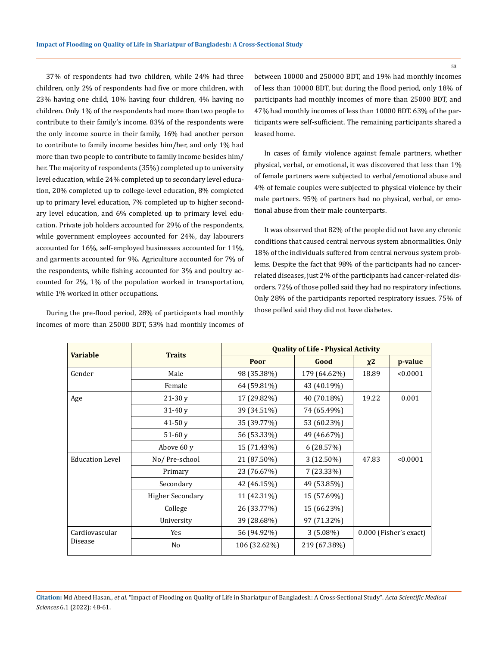37% of respondents had two children, while 24% had three children, only 2% of respondents had five or more children, with 23% having one child, 10% having four children, 4% having no children. Only 1% of the respondents had more than two people to contribute to their family's income. 83% of the respondents were the only income source in their family, 16% had another person to contribute to family income besides him/her, and only 1% had more than two people to contribute to family income besides him/ her. The majority of respondents (35%) completed up to university level education, while 24% completed up to secondary level education, 20% completed up to college-level education, 8% completed up to primary level education, 7% completed up to higher secondary level education, and 6% completed up to primary level education. Private job holders accounted for 29% of the respondents, while government employees accounted for 24%, day labourers accounted for 16%, self-employed businesses accounted for 11%, and garments accounted for 9%. Agriculture accounted for 7% of the respondents, while fishing accounted for 3% and poultry accounted for 2%, 1% of the population worked in transportation, while 1% worked in other occupations.

During the pre-flood period, 28% of participants had monthly incomes of more than 25000 BDT, 53% had monthly incomes of between 10000 and 250000 BDT, and 19% had monthly incomes of less than 10000 BDT, but during the flood period, only 18% of participants had monthly incomes of more than 25000 BDT, and 47% had monthly incomes of less than 10000 BDT. 63% of the participants were self-sufficient. The remaining participants shared a leased home.

In cases of family violence against female partners, whether physical, verbal, or emotional, it was discovered that less than 1% of female partners were subjected to verbal/emotional abuse and 4% of female couples were subjected to physical violence by their male partners. 95% of partners had no physical, verbal, or emotional abuse from their male counterparts.

It was observed that 82% of the people did not have any chronic conditions that caused central nervous system abnormalities. Only 18% of the individuals suffered from central nervous system problems. Despite the fact that 98% of the participants had no cancerrelated diseases, just 2% of the participants had cancer-related disorders. 72% of those polled said they had no respiratory infections. Only 28% of the participants reported respiratory issues. 75% of those polled said they did not have diabetes.

|                        |                         | <b>Quality of Life - Physical Activity</b> |                                       |       |          |
|------------------------|-------------------------|--------------------------------------------|---------------------------------------|-------|----------|
| <b>Variable</b>        | <b>Traits</b>           | Poor                                       | Good                                  | $x^2$ | p-value  |
| Gender                 | Male                    | 98 (35.38%)                                | 179 (64.62%)                          | 18.89 | < 0.0001 |
|                        | Female                  | 64 (59.81%)                                | 43 (40.19%)                           |       |          |
| Age                    | $21-30y$                | 17 (29.82%)                                | 40 (70.18%)                           | 19.22 | 0.001    |
|                        | $31-40v$                | 39 (34.51%)                                | 74 (65.49%)                           |       |          |
|                        | $41-50y$                | 35 (39.77%)                                | 53 (60.23%)                           |       |          |
|                        | $51-60$ v               | 56 (53.33%)                                | 49 (46.67%)                           |       |          |
|                        | Above 60 y              | 15 (71.43%)                                | 6 (28.57%)                            |       |          |
| <b>Education Level</b> | No/Pre-school           | 21 (87.50%)                                | 3 (12.50%)                            | 47.83 | < 0.0001 |
|                        | Primary                 | 23 (76.67%)                                | 7 (23.33%)                            |       |          |
|                        | Secondary               | 42 (46.15%)                                | 49 (53.85%)                           |       |          |
|                        | <b>Higher Secondary</b> | 11 (42.31%)                                | 15 (57.69%)                           |       |          |
|                        | College                 | 26 (33.77%)                                | 15 (66.23%)                           |       |          |
|                        | University              | 39 (28.68%)                                | 97 (71.32%)                           |       |          |
| Cardiovascular         | Yes                     | 56 (94.92%)                                | $3(5.08\%)$<br>0.000 (Fisher's exact) |       |          |
| Disease                | N <sub>0</sub>          | 106 (32.62%)                               | 219 (67.38%)                          |       |          |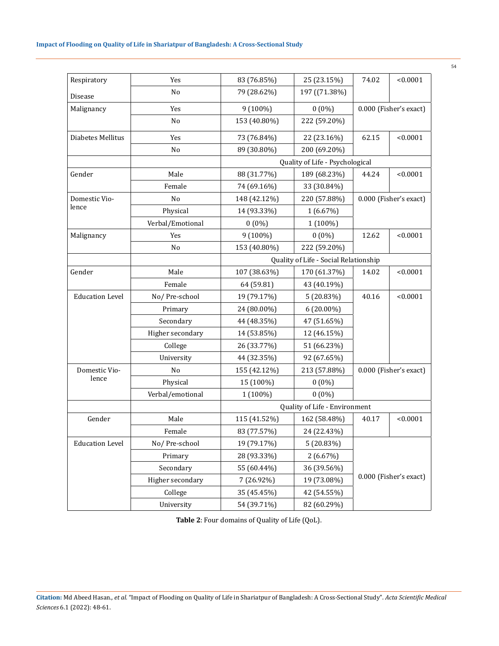| Respiratory            | Yes                                    | 83 (76.85%)                           | 25 (23.15%)                     | < 0.0001<br>74.02      |                        |  |
|------------------------|----------------------------------------|---------------------------------------|---------------------------------|------------------------|------------------------|--|
| Disease                | No                                     | 79 (28.62%)                           | 197 ((71.38%)                   |                        |                        |  |
| Malignancy             | Yes                                    | 9 (100%)                              | $0(0\%)$                        | 0.000 (Fisher's exact) |                        |  |
|                        | No                                     | 153 (40.80%)                          | 222 (59.20%)                    |                        |                        |  |
| Diabetes Mellitus      | Yes                                    | 73 (76.84%)                           | 22 (23.16%)                     | 62.15                  | < 0.0001               |  |
|                        | No                                     | 89 (30.80%)                           | 200 (69.20%)                    |                        |                        |  |
|                        |                                        |                                       | Quality of Life - Psychological |                        |                        |  |
| Gender                 | Male                                   | 88 (31.77%)                           | 189 (68.23%)                    | 44.24                  | < 0.0001               |  |
|                        | Female                                 | 74 (69.16%)                           | 33 (30.84%)                     |                        |                        |  |
| Domestic Vio-          | No                                     | 148 (42.12%)                          | 220 (57.88%)                    |                        | 0.000 (Fisher's exact) |  |
| lence                  | Physical                               | 14 (93.33%)                           | 1(6.67%)                        |                        |                        |  |
|                        | Verbal/Emotional                       | $0(0\%)$                              | 1 (100%)                        |                        |                        |  |
| Malignancy             | Yes                                    | $9(100\%)$                            | $0(0\%)$                        | 12.62                  | < 0.0001               |  |
|                        | No                                     | 153 (40.80%)                          | 222 (59.20%)                    |                        |                        |  |
|                        |                                        | Quality of Life - Social Relationship |                                 |                        |                        |  |
| Gender                 | Male                                   | 107 (38.63%)                          | 170 (61.37%)                    | 14.02                  | < 0.0001               |  |
|                        | Female                                 | 64 (59.81)                            | 43 (40.19%)                     |                        |                        |  |
| <b>Education Level</b> | No/Pre-school                          | 19 (79.17%)                           | 5 (20.83%)                      | 40.16                  | < 0.0001               |  |
|                        | Primary<br>24 (80.00%)<br>$6(20.00\%)$ |                                       |                                 |                        |                        |  |
|                        | Secondary                              | 44 (48.35%)<br>47 (51.65%)            |                                 |                        |                        |  |
|                        | Higher secondary<br>14 (53.85%)        |                                       | 12 (46.15%)                     |                        |                        |  |
|                        | College                                | 26 (33.77%)                           | 51 (66.23%)                     |                        |                        |  |
|                        | University                             | 44 (32.35%)                           | 92 (67.65%)                     |                        |                        |  |
| Domestic Vio-          | No                                     | 155 (42.12%)                          | 213 (57.88%)                    |                        | 0.000 (Fisher's exact) |  |
| lence                  | Physical                               | 15 (100%)                             | $0(0\%)$                        |                        |                        |  |
|                        | Verbal/emotional                       | 1 (100%)                              | $0(0\%)$                        |                        |                        |  |
|                        |                                        | Quality of Life - Environment         |                                 |                        |                        |  |
| Gender                 | Male                                   | 115 (41.52%)                          | 162 (58.48%)                    | 40.17                  | < 0.0001               |  |
|                        | Female                                 | 83 (77.57%)                           | 24 (22.43%)                     |                        |                        |  |
| <b>Education Level</b> | No/Pre-school                          | 19 (79.17%)                           | 5 (20.83%)                      |                        |                        |  |
|                        | Primary                                | 28 (93.33%)                           | 2(6.67%)                        |                        |                        |  |
|                        | Secondary                              | 55 (60.44%)                           | 36 (39.56%)                     |                        |                        |  |
|                        | Higher secondary                       | 7 (26.92%)                            | 19 (73.08%)                     | 0.000 (Fisher's exact) |                        |  |
|                        | College                                | 35 (45.45%)                           | 42 (54.55%)                     |                        |                        |  |
|                        | University                             | 54 (39.71%)                           | 82 (60.29%)                     |                        |                        |  |

**Table 2**: Four domains of Quality of Life (QoL).

**Citation:** Md Abeed Hasan*., et al.* "Impact of Flooding on Quality of Life in Shariatpur of Bangladesh: A Cross-Sectional Study". *Acta Scientific Medical Sciences* 6.1 (2022): 48-61.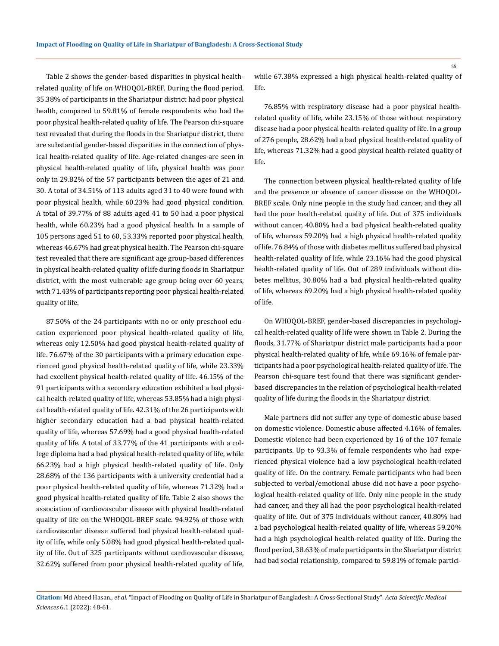Table 2 shows the gender-based disparities in physical healthrelated quality of life on WHOQOL-BREF. During the flood period, 35.38% of participants in the Shariatpur district had poor physical health, compared to 59.81% of female respondents who had the poor physical health-related quality of life. The Pearson chi-square test revealed that during the floods in the Shariatpur district, there are substantial gender-based disparities in the connection of physical health-related quality of life. Age-related changes are seen in physical health-related quality of life, physical health was poor only in 29.82% of the 57 participants between the ages of 21 and 30. A total of 34.51% of 113 adults aged 31 to 40 were found with poor physical health, while 60.23% had good physical condition. A total of 39.77% of 88 adults aged 41 to 50 had a poor physical health, while 60.23% had a good physical health. In a sample of 105 persons aged 51 to 60, 53.33% reported poor physical health, whereas 46.67% had great physical health. The Pearson chi-square test revealed that there are significant age group-based differences in physical health-related quality of life during floods in Shariatpur district, with the most vulnerable age group being over 60 years, with 71.43% of participants reporting poor physical health-related quality of life.

87.50% of the 24 participants with no or only preschool education experienced poor physical health-related quality of life, whereas only 12.50% had good physical health-related quality of life. 76.67% of the 30 participants with a primary education experienced good physical health-related quality of life, while 23.33% had excellent physical health-related quality of life. 46.15% of the 91 participants with a secondary education exhibited a bad physical health-related quality of life, whereas 53.85% had a high physical health-related quality of life. 42.31% of the 26 participants with higher secondary education had a bad physical health-related quality of life, whereas 57.69% had a good physical health-related quality of life. A total of 33.77% of the 41 participants with a college diploma had a bad physical health-related quality of life, while 66.23% had a high physical health-related quality of life. Only 28.68% of the 136 participants with a university credential had a poor physical health-related quality of life, whereas 71.32% had a good physical health-related quality of life. Table 2 also shows the association of cardiovascular disease with physical health-related quality of life on the WHOQOL-BREF scale. 94.92% of those with cardiovascular disease suffered bad physical health-related quality of life, while only 5.08% had good physical health-related quality of life. Out of 325 participants without cardiovascular disease, 32.62% suffered from poor physical health-related quality of life,

while 67.38% expressed a high physical health-related quality of life.

76.85% with respiratory disease had a poor physical healthrelated quality of life, while 23.15% of those without respiratory disease had a poor physical health-related quality of life. In a group of 276 people, 28.62% had a bad physical health-related quality of life, whereas 71.32% had a good physical health-related quality of life.

The connection between physical health-related quality of life and the presence or absence of cancer disease on the WHOQOL-BREF scale. Only nine people in the study had cancer, and they all had the poor health-related quality of life. Out of 375 individuals without cancer, 40.80% had a bad physical health-related quality of life, whereas 59.20% had a high physical health-related quality of life. 76.84% of those with diabetes mellitus suffered bad physical health-related quality of life, while 23.16% had the good physical health-related quality of life. Out of 289 individuals without diabetes mellitus, 30.80% had a bad physical health-related quality of life, whereas 69.20% had a high physical health-related quality of life.

On WHOQOL-BREF, gender-based discrepancies in psychological health-related quality of life were shown in Table 2. During the floods, 31.77% of Shariatpur district male participants had a poor physical health-related quality of life, while 69.16% of female participants had a poor psychological health-related quality of life. The Pearson chi-square test found that there was significant genderbased discrepancies in the relation of psychological health-related quality of life during the floods in the Shariatpur district.

Male partners did not suffer any type of domestic abuse based on domestic violence. Domestic abuse affected 4.16% of females. Domestic violence had been experienced by 16 of the 107 female participants. Up to 93.3% of female respondents who had experienced physical violence had a low psychological health-related quality of life. On the contrary. Female participants who had been subjected to verbal/emotional abuse did not have a poor psychological health-related quality of life. Only nine people in the study had cancer, and they all had the poor psychological health-related quality of life. Out of 375 individuals without cancer, 40.80% had a bad psychological health-related quality of life, whereas 59.20% had a high psychological health-related quality of life. During the flood period, 38.63% of male participants in the Shariatpur district had bad social relationship, compared to 59.81% of female partici-

**Citation:** Md Abeed Hasan*., et al.* "Impact of Flooding on Quality of Life in Shariatpur of Bangladesh: A Cross-Sectional Study". *Acta Scientific Medical Sciences* 6.1 (2022): 48-61.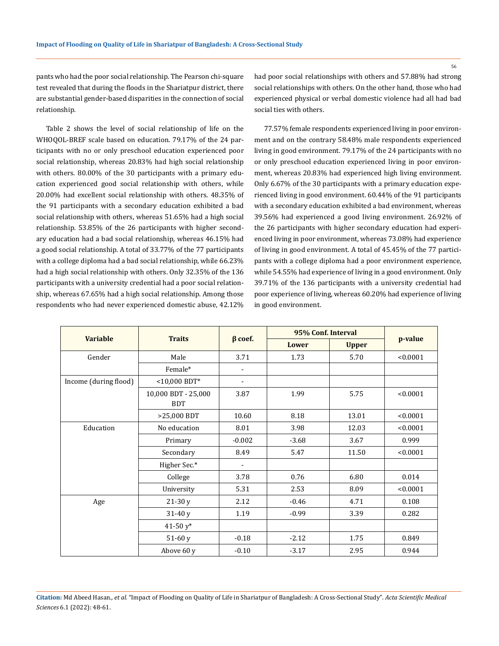pants who had the poor social relationship. The Pearson chi-square test revealed that during the floods in the Shariatpur district, there are substantial gender-based disparities in the connection of social relationship.

Table 2 shows the level of social relationship of life on the WHOQOL-BREF scale based on education. 79.17% of the 24 participants with no or only preschool education experienced poor social relationship, whereas 20.83% had high social relationship with others. 80.00% of the 30 participants with a primary education experienced good social relationship with others, while 20.00% had excellent social relationship with others. 48.35% of the 91 participants with a secondary education exhibited a bad social relationship with others, whereas 51.65% had a high social relationship. 53.85% of the 26 participants with higher secondary education had a bad social relationship, whereas 46.15% had a good social relationship. A total of 33.77% of the 77 participants with a college diploma had a bad social relationship, while 66.23% had a high social relationship with others. Only 32.35% of the 136 participants with a university credential had a poor social relationship, whereas 67.65% had a high social relationship. Among those respondents who had never experienced domestic abuse, 42.12% had poor social relationships with others and 57.88% had strong social relationships with others. On the other hand, those who had experienced physical or verbal domestic violence had all had bad social ties with others.

77.57% female respondents experienced living in poor environment and on the contrary 58.48% male respondents experienced living in good environment. 79.17% of the 24 participants with no or only preschool education experienced living in poor environment, whereas 20.83% had experienced high living environment. Only 6.67% of the 30 participants with a primary education experienced living in good environment. 60.44% of the 91 participants with a secondary education exhibited a bad environment, whereas 39.56% had experienced a good living environment. 26.92% of the 26 participants with higher secondary education had experienced living in poor environment, whereas 73.08% had experience of living in good environment. A total of 45.45% of the 77 participants with a college diploma had a poor environment experience, while 54.55% had experience of living in a good environment. Only 39.71% of the 136 participants with a university credential had poor experience of living, whereas 60.20% had experience of living in good environment.

| <b>Variable</b>       |                                   |                              | 95% Conf. Interval |              |          |
|-----------------------|-----------------------------------|------------------------------|--------------------|--------------|----------|
|                       | <b>Traits</b>                     | $\beta$ coef.                | <b>Lower</b>       | <b>Upper</b> | p-value  |
| Gender                | Male                              | 3.71                         | 1.73               | 5.70         | < 0.0001 |
|                       | Female*                           | $\blacksquare$               |                    |              |          |
| Income (during flood) | $<$ 10,000 BDT*                   | $\overline{\phantom{a}}$     |                    |              |          |
|                       | 10,000 BDT - 25,000<br><b>BDT</b> | 3.87                         | 1.99               | 5.75         | < 0.0001 |
|                       | >25,000 BDT                       | 10.60                        | 8.18               | 13.01        | < 0.0001 |
| Education             | No education                      | 8.01                         | 3.98               | 12.03        | < 0.0001 |
|                       | Primary                           | $-0.002$                     | $-3.68$            | 3.67         | 0.999    |
|                       | Secondary                         | 8.49                         | 5.47               | 11.50        | < 0.0001 |
|                       | Higher Sec.*                      | $\qquad \qquad \blacksquare$ |                    |              |          |
|                       | College                           | 3.78                         | 0.76               | 6.80         | 0.014    |
|                       | University                        | 5.31                         | 2.53               | 8.09         | < 0.0001 |
| Age                   | $21-30y$                          | 2.12                         | $-0.46$            | 4.71         | 0.108    |
|                       | $31-40y$                          | 1.19                         | $-0.99$            | 3.39         | 0.282    |
|                       | 41-50 $y^*$                       |                              |                    |              |          |
|                       | $51-60y$                          | $-0.18$                      | $-2.12$            | 1.75         | 0.849    |
|                       | Above 60 y                        | $-0.10$                      | $-3.17$            | 2.95         | 0.944    |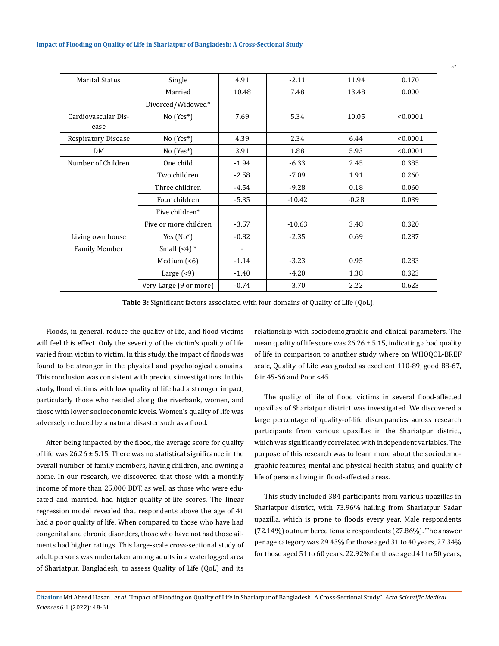| <b>Marital Status</b>       | Single                 | 4.91                     | $-2.11$  | 11.94   | 0.170    |
|-----------------------------|------------------------|--------------------------|----------|---------|----------|
|                             | Married                | 10.48                    | 7.48     | 13.48   | 0.000    |
|                             | Divorced/Widowed*      |                          |          |         |          |
| Cardiovascular Dis-<br>ease | No (Yes*)              | 7.69                     | 5.34     | 10.05   | < 0.0001 |
| <b>Respiratory Disease</b>  | $No (Yes*)$            | 4.39                     | 2.34     | 6.44    | < 0.0001 |
| <b>DM</b>                   | No (Yes*)              | 3.91                     | 1.88     | 5.93    | < 0.0001 |
| Number of Children          | One child              | $-1.94$                  | $-6.33$  | 2.45    | 0.385    |
|                             | Two children           | $-2.58$                  | $-7.09$  | 1.91    | 0.260    |
|                             | Three children         | $-4.54$                  | $-9.28$  | 0.18    | 0.060    |
|                             | Four children          | $-5.35$                  | $-10.42$ | $-0.28$ | 0.039    |
|                             | Five children*         |                          |          |         |          |
|                             | Five or more children  | $-3.57$                  | $-10.63$ | 3.48    | 0.320    |
| Living own house            | Yes $(No^*)$           | $-0.82$                  | $-2.35$  | 0.69    | 0.287    |
| <b>Family Member</b>        | Small $(-4)$ *         | $\overline{\phantom{a}}$ |          |         |          |
|                             | Medium $($ < 6)        | $-1.14$                  | $-3.23$  | 0.95    | 0.283    |
|                             | Large $($              | $-1.40$                  | $-4.20$  | 1.38    | 0.323    |
|                             | Very Large (9 or more) | $-0.74$                  | $-3.70$  | 2.22    | 0.623    |

**Table 3:** Significant factors associated with four domains of Quality of Life (QoL).

Floods, in general, reduce the quality of life, and flood victims will feel this effect. Only the severity of the victim's quality of life varied from victim to victim. In this study, the impact of floods was found to be stronger in the physical and psychological domains. This conclusion was consistent with previous investigations. In this study, flood victims with low quality of life had a stronger impact, particularly those who resided along the riverbank, women, and those with lower socioeconomic levels. Women's quality of life was adversely reduced by a natural disaster such as a flood.

After being impacted by the flood, the average score for quality of life was  $26.26 \pm 5.15$ . There was no statistical significance in the overall number of family members, having children, and owning a home. In our research, we discovered that those with a monthly income of more than 25,000 BDT, as well as those who were educated and married, had higher quality-of-life scores. The linear regression model revealed that respondents above the age of 41 had a poor quality of life. When compared to those who have had congenital and chronic disorders, those who have not had those ailments had higher ratings. This large-scale cross-sectional study of adult persons was undertaken among adults in a waterlogged area of Shariatpur, Bangladesh, to assess Quality of Life (QoL) and its relationship with sociodemographic and clinical parameters. The mean quality of life score was  $26.26 \pm 5.15$ , indicating a bad quality of life in comparison to another study where on WHOQOL-BREF scale, Quality of Life was graded as excellent 110-89, good 88-67, fair 45-66 and Poor <45.

The quality of life of flood victims in several flood-affected upazillas of Shariatpur district was investigated. We discovered a large percentage of quality-of-life discrepancies across research participants from various upazillas in the Shariatpur district, which was significantly correlated with independent variables. The purpose of this research was to learn more about the sociodemographic features, mental and physical health status, and quality of life of persons living in flood-affected areas.

This study included 384 participants from various upazillas in Shariatpur district, with 73.96% hailing from Shariatpur Sadar upazilla, which is prone to floods every year. Male respondents (72.14%) outnumbered female respondents (27.86%). The answer per age category was 29.43% for those aged 31 to 40 years, 27.34% for those aged 51 to 60 years, 22.92% for those aged 41 to 50 years,

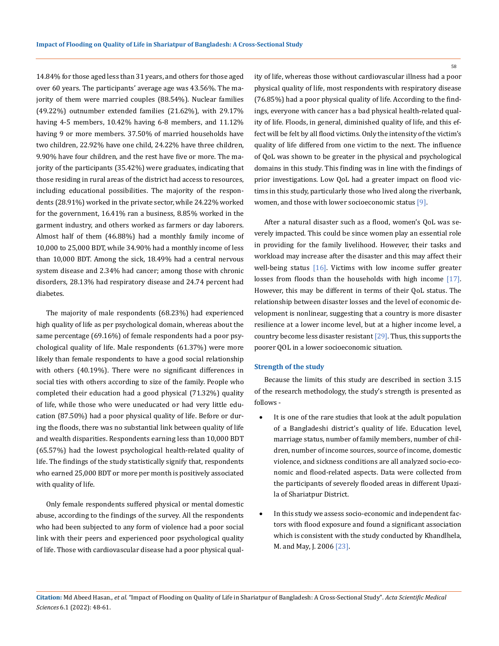14.84% for those aged less than 31 years, and others for those aged over 60 years. The participants' average age was 43.56%. The majority of them were married couples (88.54%). Nuclear families (49.22%) outnumber extended families (21.62%), with 29.17% having 4-5 members, 10.42% having 6-8 members, and 11.12% having 9 or more members. 37.50% of married households have two children, 22.92% have one child, 24.22% have three children, 9.90% have four children, and the rest have five or more. The majority of the participants (35.42%) were graduates, indicating that those residing in rural areas of the district had access to resources, including educational possibilities. The majority of the respondents (28.91%) worked in the private sector, while 24.22% worked for the government, 16.41% ran a business, 8.85% worked in the garment industry, and others worked as farmers or day laborers. Almost half of them (46.88%) had a monthly family income of 10,000 to 25,000 BDT, while 34.90% had a monthly income of less than 10,000 BDT. Among the sick, 18.49% had a central nervous system disease and 2.34% had cancer; among those with chronic disorders, 28.13% had respiratory disease and 24.74 percent had diabetes.

The majority of male respondents (68.23%) had experienced high quality of life as per psychological domain, whereas about the same percentage (69.16%) of female respondents had a poor psychological quality of life. Male respondents (61.37%) were more likely than female respondents to have a good social relationship with others (40.19%). There were no significant differences in social ties with others according to size of the family. People who completed their education had a good physical (71.32%) quality of life, while those who were uneducated or had very little education (87.50%) had a poor physical quality of life. Before or during the floods, there was no substantial link between quality of life and wealth disparities. Respondents earning less than 10,000 BDT (65.57%) had the lowest psychological health-related quality of life. The findings of the study statistically signify that, respondents who earned 25,000 BDT or more per month is positively associated with quality of life.

Only female respondents suffered physical or mental domestic abuse, according to the findings of the survey. All the respondents who had been subjected to any form of violence had a poor social link with their peers and experienced poor psychological quality of life. Those with cardiovascular disease had a poor physical quality of life, whereas those without cardiovascular illness had a poor physical quality of life, most respondents with respiratory disease (76.85%) had a poor physical quality of life. According to the findings, everyone with cancer has a bad physical health-related quality of life. Floods, in general, diminished quality of life, and this effect will be felt by all flood victims. Only the intensity of the victim's quality of life differed from one victim to the next. The influence of QoL was shown to be greater in the physical and psychological domains in this study. This finding was in line with the findings of prior investigations. Low QoL had a greater impact on flood victims in this study, particularly those who lived along the riverbank, women, and those with lower socioeconomic status [9].

After a natural disaster such as a flood, women's QoL was severely impacted. This could be since women play an essential role in providing for the family livelihood. However, their tasks and workload may increase after the disaster and this may affect their well-being status [16]. Victims with low income suffer greater losses from floods than the households with high income [17]. However, this may be different in terms of their QoL status. The relationship between disaster losses and the level of economic development is nonlinear, suggesting that a country is more disaster resilience at a lower income level, but at a higher income level, a country become less disaster resistant [29]. Thus, this supports the poorer QOL in a lower socioeconomic situation.

#### **Strength of the study**

Because the limits of this study are described in section 3.15 of the research methodology, the study's strength is presented as follows -

- It is one of the rare studies that look at the adult population of a Bangladeshi district's quality of life. Education level, marriage status, number of family members, number of children, number of income sources, source of income, domestic violence, and sickness conditions are all analyzed socio-economic and flood-related aspects. Data were collected from the participants of severely flooded areas in different Upazila of Shariatpur District.
- In this study we assess socio-economic and independent factors with flood exposure and found a significant association which is consistent with the study conducted by Khandlhela, M. and May, J. 2006 [23].

**Citation:** Md Abeed Hasan*., et al.* "Impact of Flooding on Quality of Life in Shariatpur of Bangladesh: A Cross-Sectional Study". *Acta Scientific Medical Sciences* 6.1 (2022): 48-61.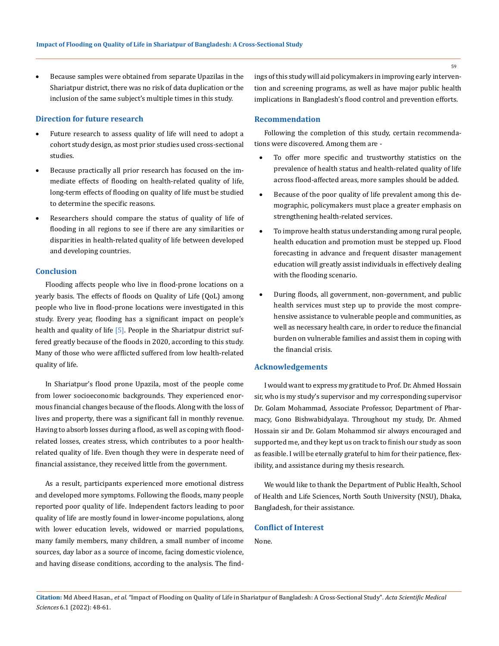Because samples were obtained from separate Upazilas in the Shariatpur district, there was no risk of data duplication or the inclusion of the same subject's multiple times in this study.

### **Direction for future research**

- Future research to assess quality of life will need to adopt a cohort study design, as most prior studies used cross-sectional studies.
- • Because practically all prior research has focused on the immediate effects of flooding on health-related quality of life, long-term effects of flooding on quality of life must be studied to determine the specific reasons.
- Researchers should compare the status of quality of life of flooding in all regions to see if there are any similarities or disparities in health-related quality of life between developed and developing countries.

## **Conclusion**

Flooding affects people who live in flood-prone locations on a yearly basis. The effects of floods on Quality of Life (QoL) among people who live in flood-prone locations were investigated in this study. Every year, flooding has a significant impact on people's health and quality of life [5]. People in the Shariatpur district suffered greatly because of the floods in 2020, according to this study. Many of those who were afflicted suffered from low health-related quality of life.

In Shariatpur's flood prone Upazila, most of the people come from lower socioeconomic backgrounds. They experienced enormous financial changes because of the floods. Along with the loss of lives and property, there was a significant fall in monthly revenue. Having to absorb losses during a flood, as well as coping with floodrelated losses, creates stress, which contributes to a poor healthrelated quality of life. Even though they were in desperate need of financial assistance, they received little from the government.

As a result, participants experienced more emotional distress and developed more symptoms. Following the floods, many people reported poor quality of life. Independent factors leading to poor quality of life are mostly found in lower-income populations, along with lower education levels, widowed or married populations, many family members, many children, a small number of income sources, day labor as a source of income, facing domestic violence, and having disease conditions, according to the analysis. The findings of this study will aid policymakers in improving early intervention and screening programs, as well as have major public health implications in Bangladesh's flood control and prevention efforts.

## **Recommendation**

Following the completion of this study, certain recommendations were discovered. Among them are -

- To offer more specific and trustworthy statistics on the prevalence of health status and health-related quality of life across flood-affected areas, more samples should be added.
- Because of the poor quality of life prevalent among this demographic, policymakers must place a greater emphasis on strengthening health-related services.
- To improve health status understanding among rural people, health education and promotion must be stepped up. Flood forecasting in advance and frequent disaster management education will greatly assist individuals in effectively dealing with the flooding scenario.
- During floods, all government, non-government, and public health services must step up to provide the most comprehensive assistance to vulnerable people and communities, as well as necessary health care, in order to reduce the financial burden on vulnerable families and assist them in coping with the financial crisis.

## **Acknowledgements**

I would want to express my gratitude to Prof. Dr. Ahmed Hossain sir, who is my study's supervisor and my corresponding supervisor Dr. Golam Mohammad, Associate Professor, Department of Pharmacy, Gono Bishwabidyalaya. Throughout my study, Dr. Ahmed Hossain sir and Dr. Golam Mohammod sir always encouraged and supported me, and they kept us on track to finish our study as soon as feasible. I will be eternally grateful to him for their patience, flexibility, and assistance during my thesis research.

We would like to thank the Department of Public Health, School of Health and Life Sciences, North South University (NSU), Dhaka, Bangladesh, for their assistance.

## **Conflict of Interest**

None.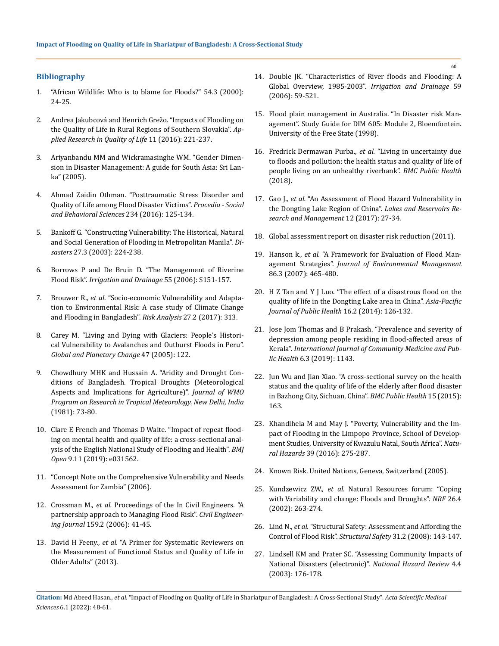## **Bibliography**

- 1. "African Wildlife: Who is to blame for Floods?" 54.3 (2000): 24-25.
- 2. [Andrea Jakubcová and Henrich Grežo. "Impacts of Flooding on](https://link.springer.com/article/10.1007/s11482-014-9363-x)  [the Quality of Life in Rural Regions of Southern Slovakia".](https://link.springer.com/article/10.1007/s11482-014-9363-x) *Ap[plied Research in Quality of Life](https://link.springer.com/article/10.1007/s11482-014-9363-x)* 11 (2016): 221-237.
- 3. [Ariyanbandu MM and Wickramasinghe WM. "Gender Dimen](https://www.preventionweb.net/publication/gender-dimensions-disaster-management-guide-south-asia)[sion in Disaster Management: A guide for South Asia: Sri Lan](https://www.preventionweb.net/publication/gender-dimensions-disaster-management-guide-south-asia)[ka" \(2005\).](https://www.preventionweb.net/publication/gender-dimensions-disaster-management-guide-south-asia)
- 4. [Ahmad Zaidin Othman. "Posttraumatic Stress Disorder and](https://www.researchgate.net/publication/309876991_Posttraumatic_Stress_Disorder_and_Quality_of_Life_among_Flood_Disaster_Victims)  [Quality of Life among Flood Disaster Victims".](https://www.researchgate.net/publication/309876991_Posttraumatic_Stress_Disorder_and_Quality_of_Life_among_Flood_Disaster_Victims) *Procedia - Social [and Behavioral Sciences](https://www.researchgate.net/publication/309876991_Posttraumatic_Stress_Disorder_and_Quality_of_Life_among_Flood_Disaster_Victims)* 234 (2016): 125-134.
- 5. [Bankoff G. "Constructing Vulnerability: The Historical, Natural](https://actascientific.com/journals.php)  [and Social Generation of Flooding in Metropolitan Manila".](https://actascientific.com/journals.php) *Disasters* [27.3 \(2003\): 224-238.](https://actascientific.com/journals.php)
- 6. [Borrows P and De Bruin D. "The Management of Riverine](https://www.researchgate.net/publication/229698900_The_management_of_riverine_flood_risk)  Flood Risk". *[Irrigation and Drainage](https://www.researchgate.net/publication/229698900_The_management_of_riverine_flood_risk)* 55 (2006): S151-157.
- 7. Brouwer R., *et al.* ["Socio-economic Vulnerability and Adapta](https://pubmed.ncbi.nlm.nih.gov/17511700/)[tion to Environmental Risk: A case study of Climate Change](https://pubmed.ncbi.nlm.nih.gov/17511700/)  [and Flooding in Bangladesh".](https://pubmed.ncbi.nlm.nih.gov/17511700/) *Risk Analysis* 27.2 (2017): 313.
- 8. [Carey M. "Living and Dying with Glaciers: People's Histori](https://www.sciencedirect.com/science/article/abs/pii/S0921818104001912)[cal Vulnerability to Avalanches and Outburst Floods in Peru".](https://www.sciencedirect.com/science/article/abs/pii/S0921818104001912)  *[Global and Planetary Change](https://www.sciencedirect.com/science/article/abs/pii/S0921818104001912)* 47 (2005): 122.
- 9. Chowdhury MHK and Hussain A. "Aridity and Drought Conditions of Bangladesh. Tropical Droughts (Meteorological Aspects and Implications for Agriculture)". *Journal of WMO Program on Research in Tropical Meteorology. New Delhi, India* (1981): 73-80.
- 10. [Clare E French and Thomas D Waite. "Impact of repeat flood](https://pubmed.ncbi.nlm.nih.gov/31678948/)[ing on mental health and quality of life: a cross-sectional anal](https://pubmed.ncbi.nlm.nih.gov/31678948/)[ysis of the English National Study of Flooding and Health".](https://pubmed.ncbi.nlm.nih.gov/31678948/) *BMJ Open* [9.11 \(2019\): e031562.](https://pubmed.ncbi.nlm.nih.gov/31678948/)
- 11. "Concept Note on the Comprehensive Vulnerability and Needs Assessment for Zambia" (2006).
- 12. Crossman M., *et al.* [Proceedings of the In Civil Engineers. "A](https://www.icevirtuallibrary.com/doi/abs/10.1680/cien.2006.159.6.41)  [partnership approach to Managing Flood Risk".](https://www.icevirtuallibrary.com/doi/abs/10.1680/cien.2006.159.6.41) *Civil Engineering Journal* [159.2 \(2006\): 41-45.](https://www.icevirtuallibrary.com/doi/abs/10.1680/cien.2006.159.6.41)
- 13. David H Feeny., *et al.* ["A Primer for Systematic Reviewers on](https://pubmed.ncbi.nlm.nih.gov/24199257/)  [the Measurement of Functional Status and Quality of Life in](https://pubmed.ncbi.nlm.nih.gov/24199257/)  [Older Adults" \(2013\).](https://pubmed.ncbi.nlm.nih.gov/24199257/)
- 14. [Double JK. "Characteristics of River floods and Flooding: A](https://onlinelibrary.wiley.com/doi/10.1002/ird.239)  [Global Overview, 1985-2003".](https://onlinelibrary.wiley.com/doi/10.1002/ird.239) *Irrigation and Drainage* 59 [\(2006\): 59-521.](https://onlinelibrary.wiley.com/doi/10.1002/ird.239)
- 15. [Flood plain management in Australia. "In Disaster risk Man](https://www.un-spider.org/risks-and-disasters/disaster-risk-management)[agement". Study Guide for DIM 605: Module 2, Bloemfontein.](https://www.un-spider.org/risks-and-disasters/disaster-risk-management)  [University of the Free State \(1998\).](https://www.un-spider.org/risks-and-disasters/disaster-risk-management)
- 16. [Fredrick Dermawan Purba.,](https://bmcpublichealth.biomedcentral.com/articles/10.1186/s12889-018-5706-0) *et al.* "Living in uncertainty due [to floods and pollution: the health status and quality of life of](https://bmcpublichealth.biomedcentral.com/articles/10.1186/s12889-018-5706-0)  [people living on an unhealthy riverbank".](https://bmcpublichealth.biomedcentral.com/articles/10.1186/s12889-018-5706-0) *BMC Public Health*  [\(2018\).](https://bmcpublichealth.biomedcentral.com/articles/10.1186/s12889-018-5706-0)
- 17. Gao J., *et al.* ["An Assessment of Flood Hazard Vulnerability in](https://www.researchgate.net/publication/229918737_An_Assessment_of_Flood_Hazard_Vulnerability_in_the_Dongting_Lake_Region_of_China)  [the Dongting Lake Region of China".](https://www.researchgate.net/publication/229918737_An_Assessment_of_Flood_Hazard_Vulnerability_in_the_Dongting_Lake_Region_of_China) *Lakes and Reservoirs Re[search and Management](https://www.researchgate.net/publication/229918737_An_Assessment_of_Flood_Hazard_Vulnerability_in_the_Dongting_Lake_Region_of_China)* 12 (2017): 27-34.
- 18. [Global assessment report on disaster risk reduction \(2011\).](https://www.unisdr.org/files/7817_UNISDRTerminologyEnglish.pdf)
- 19. Hanson k., *et al.* ["A Framework for Evaluation of Flood Man](https://www.sciencedirect.com/science/article/pii/S0301479706004269)agement Strategies". *[Journal of Environmental Management](https://www.sciencedirect.com/science/article/pii/S0301479706004269)* [86.3 \(2007\): 465-480.](https://www.sciencedirect.com/science/article/pii/S0301479706004269)
- 20. [H Z Tan and Y J Luo. "The effect of a disastrous flood on the](https://pubmed.ncbi.nlm.nih.gov/15624791/)  [quality of life in the Dongting Lake area in China".](https://pubmed.ncbi.nlm.nih.gov/15624791/) *Asia-Pacific [Journal of Public Health](https://pubmed.ncbi.nlm.nih.gov/15624791/)* 16.2 (2014): 126-132.
- 21. [Jose Jom Thomas and B Prakash. "Prevalence and severity of](https://www.researchgate.net/publication/331301044_Prevalence_and_severity_of_depression_among_people_residing_in_flood_affected_areas_of_Kerala)  [depression among people residing in flood-affected areas of](https://www.researchgate.net/publication/331301044_Prevalence_and_severity_of_depression_among_people_residing_in_flood_affected_areas_of_Kerala)  Kerala". *[International Journal of Community Medicine and Pub](https://www.researchgate.net/publication/331301044_Prevalence_and_severity_of_depression_among_people_residing_in_flood_affected_areas_of_Kerala)lic Health* [6.3 \(2019\): 1143.](https://www.researchgate.net/publication/331301044_Prevalence_and_severity_of_depression_among_people_residing_in_flood_affected_areas_of_Kerala)
- 22. [Jun Wu and Jian Xiao. "A cross-sectional survey on the health](https://pubmed.ncbi.nlm.nih.gov/25884807/)  [status and the quality of life of the elderly after flood disaster](https://pubmed.ncbi.nlm.nih.gov/25884807/)  [in Bazhong City, Sichuan, China".](https://pubmed.ncbi.nlm.nih.gov/25884807/) *BMC Public Health* 15 (2015): [163.](https://pubmed.ncbi.nlm.nih.gov/25884807/)
- 23. [Khandlhela M and May J. "Poverty, Vulnerability and the Im](https://link.springer.com/article/10.1007/s11069-006-0028-4)[pact of Flooding in the Limpopo Province, School of Develop](https://link.springer.com/article/10.1007/s11069-006-0028-4)[ment Studies, University of Kwazulu Natal, South Africa".](https://link.springer.com/article/10.1007/s11069-006-0028-4) *Natural Hazards* [39 \(2016\): 275-287.](https://link.springer.com/article/10.1007/s11069-006-0028-4)
- 24. Known Risk. United Nations, Geneva, Switzerland (2005).
- 25. Kundzewicz ZW., *et al.* [Natural Resources forum: "Coping](https://onlinelibrary.wiley.com/doi/10.1111/1477-8947.00029)  [with Variability and change: Floods and Droughts".](https://onlinelibrary.wiley.com/doi/10.1111/1477-8947.00029) *NRF* 26.4 [\(2002\): 263-274.](https://onlinelibrary.wiley.com/doi/10.1111/1477-8947.00029)
- 26. Lind N., *et al.* ["Structural Safety: Assessment and Affording the](https://www.researchgate.net/publication/245211761_Assessing_and_affording_the_control_of_flood_risk)  Control of Flood Risk". *Structural Safety* [31.2 \(2008\): 143-147.](https://www.researchgate.net/publication/245211761_Assessing_and_affording_the_control_of_flood_risk)
- 27. [Lindsell KM and Prater SC. "Assessing Community Impacts of](https://www.researchgate.net/publication/228826181_Assessing_Community_Impacts_of_Natural_Disasters)  [National Disasters \(electronic\)".](https://www.researchgate.net/publication/228826181_Assessing_Community_Impacts_of_Natural_Disasters) *National Hazard Review* 4.4 [\(2003\): 176-178.](https://www.researchgate.net/publication/228826181_Assessing_Community_Impacts_of_Natural_Disasters)